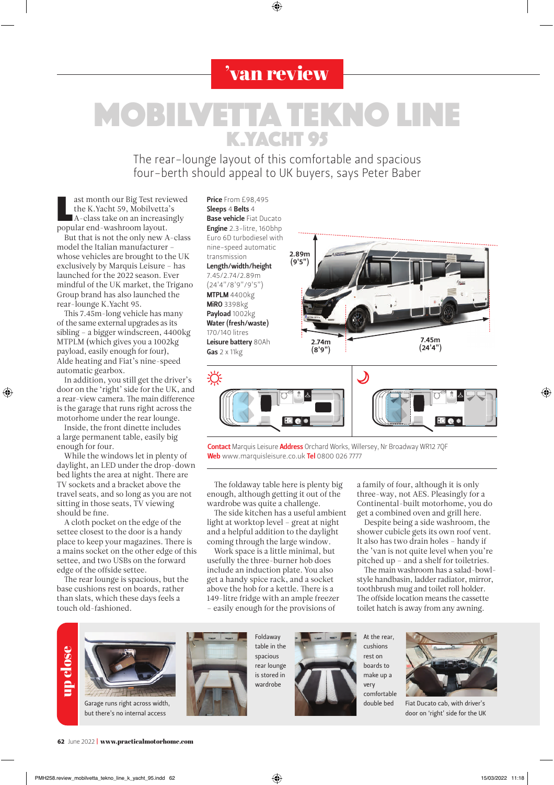## 'van review

◈

## **MOBILVETTA TEKNO LIN** K.YACHT 95

The rear-lounge layout of this comfortable and spacious four-berth should appeal to UK buyers, says Peter Baber

ast month our Big Test revivative K.Yacht 59, Mobilvetta<br>A-class take on an increasi<br>popular end-washroom layout. ast month our Big Test reviewed the K.Yacht 59, Mobilvetta's A-class take on an increasingly

But that is not the only new A-class model the Italian manufacturer – whose vehicles are brought to the UK exclusively by Marquis Leisure – has launched for the 2022 season. Ever mindful of the UK market, the Trigano Group brand has also launched the rear-lounge K.Yacht 95.

This 7.45m-long vehicle has many of the same external upgrades as its sibling – a bigger windscreen, 4400kg MTPLM (which gives you a 1002kg payload, easily enough for four), Alde heating and Fiat's nine-speed automatic gearbox.

In addition, you still get the driver's door on the 'right' side for the UK, and a rear-view camera. The main difference is the garage that runs right across the motorhome under the rear lounge.

⊕

Inside, the front dinette includes a large permanent table, easily big enough for four.

While the windows let in plenty of daylight, an LED under the drop-down bed lights the area at night. There are TV sockets and a bracket above the travel seats, and so long as you are not sitting in those seats, TV viewing should be fine.

A cloth pocket on the edge of the settee closest to the door is a handy place to keep your magazines. There is a mains socket on the other edge of this settee, and two USBs on the forward edge of the offside settee.

The rear lounge is spacious, but the base cushions rest on boards, rather than slats, which these days feels a touch old-fashioned.

Sleeps 4 Belts 4 **Base vehicle Fiat Ducato** Engine 2.3-litre, 160bhp Euro 6D turbodiesel with nine-speed automatic transmission Length/width/height 7.45/2.74/2.89m (24'4"/8'9"/9'5") MTPLM 4400kg MiRO 3398kg Payload 1002kg Water (fresh/waste) 170/140 litres Leisure battery 80Ah Gas 2 x 11kg

Price From £98,495





Contact Marquis Leisure Address Orchard Works, Willersey, Nr Broadway WR12 70F Web www.marquisleisure.co.uk Tel 0800 026 7777

The foldaway table here is plenty big enough, although getting it out of the wardrobe was quite a challenge.

The side kitchen has a useful ambient light at worktop level – great at night and a helpful addition to the daylight coming through the large window.

Work space is a little minimal, but usefully the three-burner hob does include an induction plate. You also get a handy spice rack, and a socket above the hob for a kettle. There is a 149-litre fridge with an ample freezer – easily enough for the provisions of

a family of four, although it is only three-way, not AES. Pleasingly for a Continental-built motorhome, you do get a combined oven and grill here.

Despite being a side washroom, the shower cubicle gets its own roof vent. It also has two drain holes – handy if the 'van is not quite level when you're pitched up – and a shelf for toiletries.

The main washroom has a salad-bowlstyle handbasin, ladder radiator, mirror, toothbrush mug and toilet roll holder. The offside location means the cassette toilet hatch is away from any awning.



62 June 2022 | www.practicalmotorhome.com

⊕